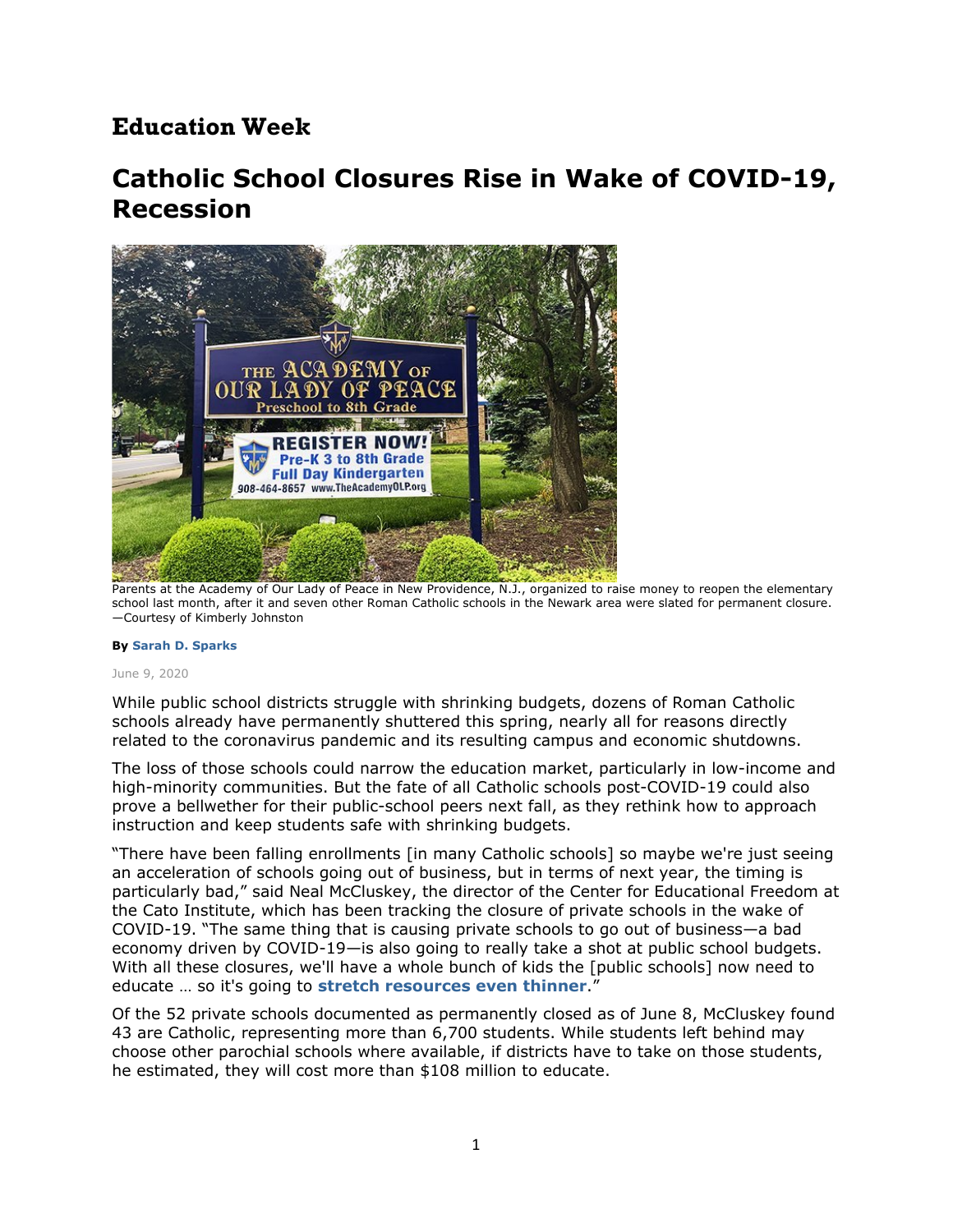## **Education Week**

# **Catholic School Closures Rise in Wake of COVID-19, Recession**



Parents at the Academy of Our Lady of Peace in New Providence, N.J., organized to raise money to reopen the elementary school last month, after it and seven other Roman Catholic schools in the Newark area were slated for permanent closure. —Courtesy of Kimberly Johnston

#### **By Sarah D. Sparks**

#### June 9, 2020

While public school districts struggle with shrinking budgets, dozens of Roman Catholic schools already have permanently shuttered this spring, nearly all for reasons directly related to the coronavirus pandemic and its resulting campus and economic shutdowns.

The loss of those schools could narrow the education market, particularly in low-income and high-minority communities. But the fate of all Catholic schools post-COVID-19 could also prove a bellwether for their public-school peers next fall, as they rethink how to approach instruction and keep students safe with shrinking budgets.

"There have been falling enrollments [in many Catholic schools] so maybe we're just seeing an acceleration of schools going out of business, but in terms of next year, the timing is particularly bad," said Neal McCluskey, the director of the Center for Educational Freedom at the Cato Institute, which has been tracking the closure of private schools in the wake of COVID-19. "The same thing that is causing private schools to go out of business—a bad economy driven by COVID-19—is also going to really take a shot at public school budgets. With all these closures, we'll have a whole bunch of kids the [public schools] now need to educate … so it's going to **stretch resources even thinner**."

Of the 52 private schools documented as permanently closed as of June 8, McCluskey found 43 are Catholic, representing more than 6,700 students. While students left behind may choose other parochial schools where available, if districts have to take on those students, he estimated, they will cost more than \$108 million to educate.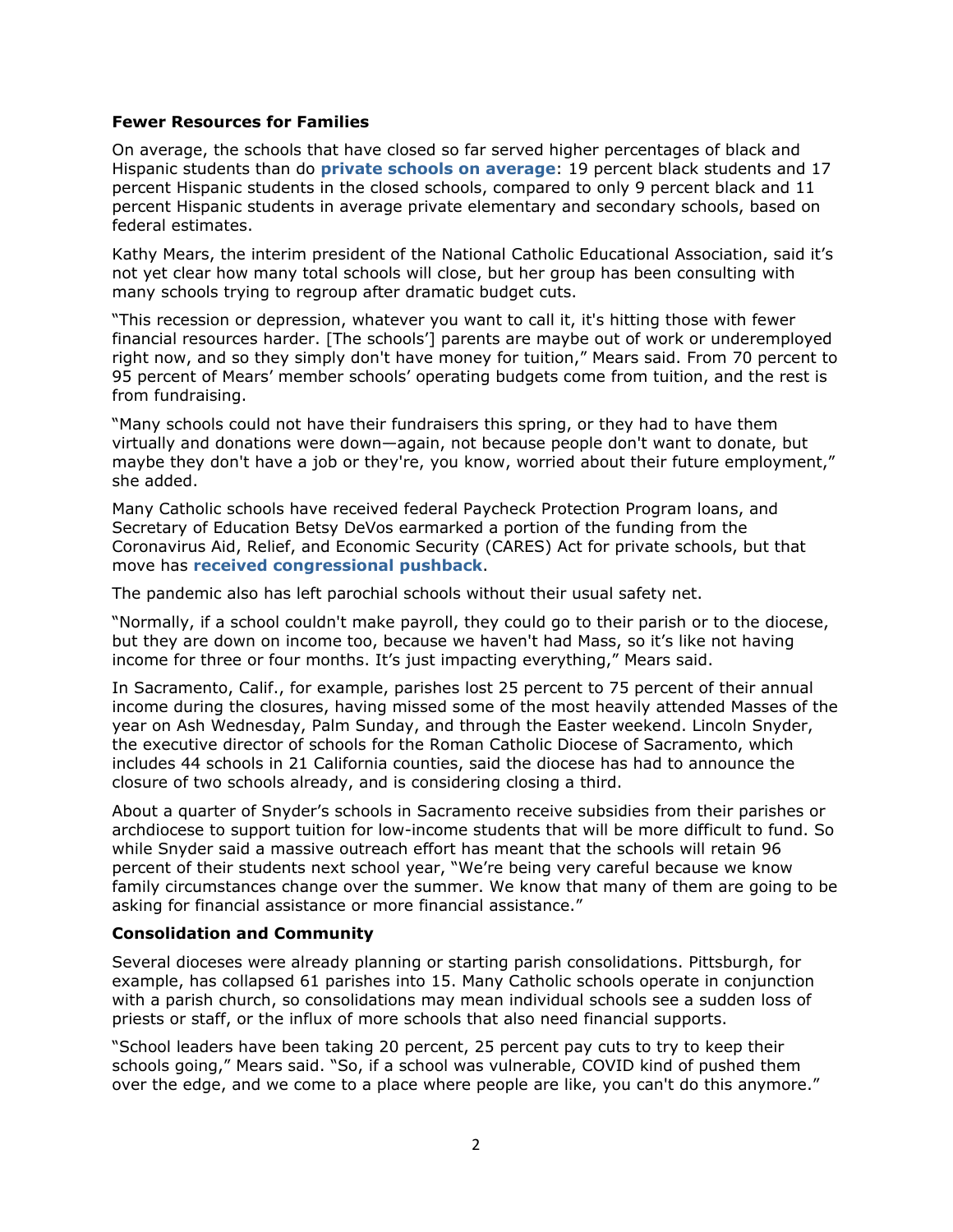### **Fewer Resources for Families**

On average, the schools that have closed so far served higher percentages of black and Hispanic students than do **private schools on average**: 19 percent black students and 17 percent Hispanic students in the closed schools, compared to only 9 percent black and 11 percent Hispanic students in average private elementary and secondary schools, based on federal estimates.

Kathy Mears, the interim president of the National Catholic Educational Association, said it's not yet clear how many total schools will close, but her group has been consulting with many schools trying to regroup after dramatic budget cuts.

"This recession or depression, whatever you want to call it, it's hitting those with fewer financial resources harder. [The schools'] parents are maybe out of work or underemployed right now, and so they simply don't have money for tuition," Mears said. From 70 percent to 95 percent of Mears' member schools' operating budgets come from tuition, and the rest is from fundraising.

"Many schools could not have their fundraisers this spring, or they had to have them virtually and donations were down—again, not because people don't want to donate, but maybe they don't have a job or they're, you know, worried about their future employment," she added.

Many Catholic schools have received federal Paycheck Protection Program loans, and Secretary of Education Betsy DeVos earmarked a portion of the funding from the Coronavirus Aid, Relief, and Economic Security (CARES) Act for private schools, but that move has **received congressional pushback**.

The pandemic also has left parochial schools without their usual safety net.

"Normally, if a school couldn't make payroll, they could go to their parish or to the diocese, but they are down on income too, because we haven't had Mass, so it's like not having income for three or four months. It's just impacting everything," Mears said.

In Sacramento, Calif., for example, parishes lost 25 percent to 75 percent of their annual income during the closures, having missed some of the most heavily attended Masses of the year on Ash Wednesday, Palm Sunday, and through the Easter weekend. Lincoln Snyder, the executive director of schools for the Roman Catholic Diocese of Sacramento, which includes 44 schools in 21 California counties, said the diocese has had to announce the closure of two schools already, and is considering closing a third.

About a quarter of Snyder's schools in Sacramento receive subsidies from their parishes or archdiocese to support tuition for low-income students that will be more difficult to fund. So while Snyder said a massive outreach effort has meant that the schools will retain 96 percent of their students next school year, "We're being very careful because we know family circumstances change over the summer. We know that many of them are going to be asking for financial assistance or more financial assistance."

## **Consolidation and Community**

Several dioceses were already planning or starting parish consolidations. Pittsburgh, for example, has collapsed 61 parishes into 15. Many Catholic schools operate in conjunction with a parish church, so consolidations may mean individual schools see a sudden loss of priests or staff, or the influx of more schools that also need financial supports.

"School leaders have been taking 20 percent, 25 percent pay cuts to try to keep their schools going," Mears said. "So, if a school was vulnerable, COVID kind of pushed them over the edge, and we come to a place where people are like, you can't do this anymore."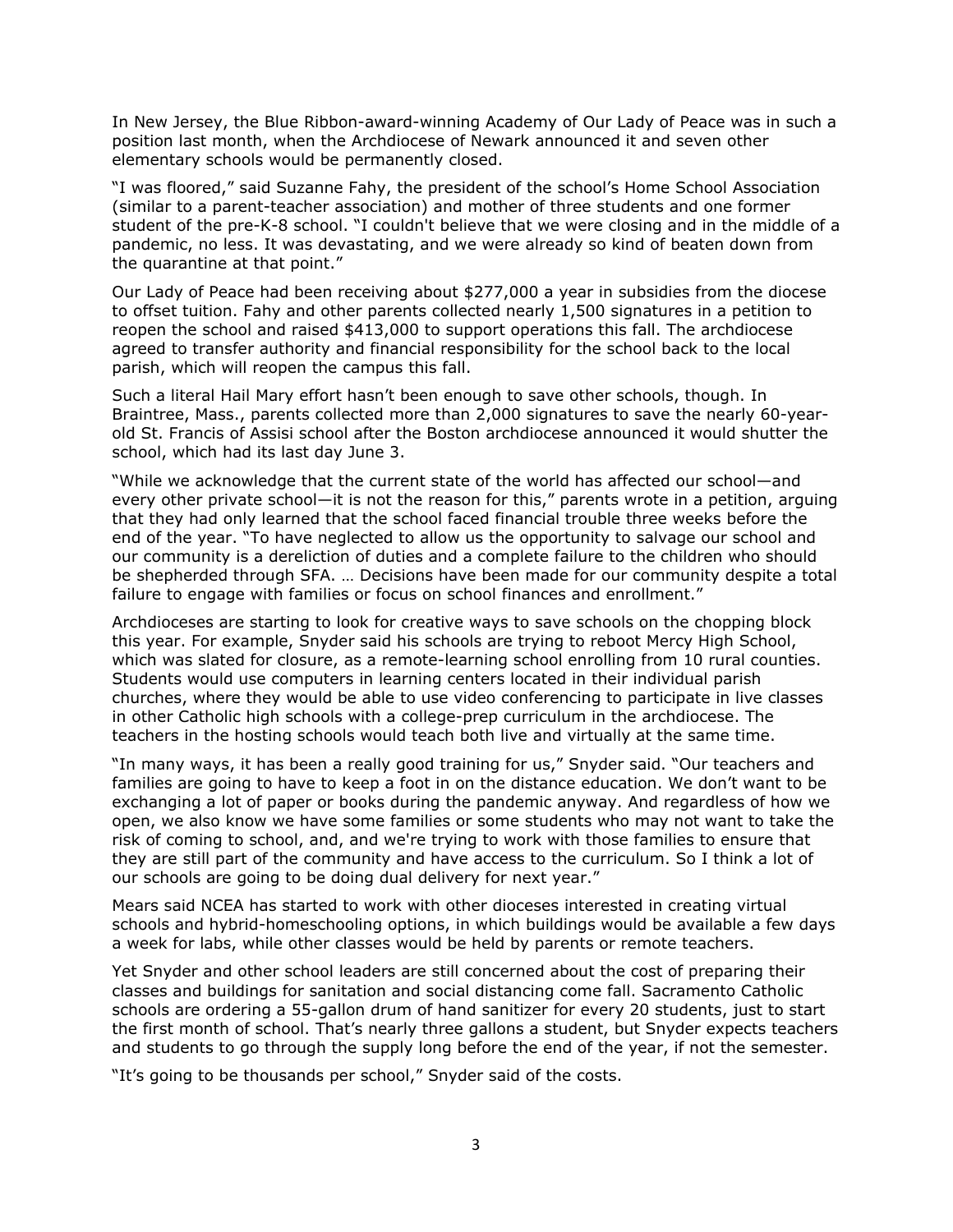In New Jersey, the Blue Ribbon-award-winning Academy of Our Lady of Peace was in such a position last month, when the Archdiocese of Newark announced it and seven other elementary schools would be permanently closed.

"I was floored," said Suzanne Fahy, the president of the school's Home School Association (similar to a parent-teacher association) and mother of three students and one former student of the pre-K-8 school. "I couldn't believe that we were closing and in the middle of a pandemic, no less. It was devastating, and we were already so kind of beaten down from the quarantine at that point."

Our Lady of Peace had been receiving about \$277,000 a year in subsidies from the diocese to offset tuition. Fahy and other parents collected nearly 1,500 signatures in a petition to reopen the school and raised \$413,000 to support operations this fall. The archdiocese agreed to transfer authority and financial responsibility for the school back to the local parish, which will reopen the campus this fall.

Such a literal Hail Mary effort hasn't been enough to save other schools, though. In Braintree, Mass., parents collected more than 2,000 signatures to save the nearly 60-yearold St. Francis of Assisi school after the Boston archdiocese announced it would shutter the school, which had its last day June 3.

"While we acknowledge that the current state of the world has affected our school—and every other private school—it is not the reason for this," parents wrote in a petition, arguing that they had only learned that the school faced financial trouble three weeks before the end of the year. "To have neglected to allow us the opportunity to salvage our school and our community is a dereliction of duties and a complete failure to the children who should be shepherded through SFA. … Decisions have been made for our community despite a total failure to engage with families or focus on school finances and enrollment."

Archdioceses are starting to look for creative ways to save schools on the chopping block this year. For example, Snyder said his schools are trying to reboot Mercy High School, which was slated for closure, as a remote-learning school enrolling from 10 rural counties. Students would use computers in learning centers located in their individual parish churches, where they would be able to use video conferencing to participate in live classes in other Catholic high schools with a college-prep curriculum in the archdiocese. The teachers in the hosting schools would teach both live and virtually at the same time.

"In many ways, it has been a really good training for us," Snyder said. "Our teachers and families are going to have to keep a foot in on the distance education. We don't want to be exchanging a lot of paper or books during the pandemic anyway. And regardless of how we open, we also know we have some families or some students who may not want to take the risk of coming to school, and, and we're trying to work with those families to ensure that they are still part of the community and have access to the curriculum. So I think a lot of our schools are going to be doing dual delivery for next year."

Mears said NCEA has started to work with other dioceses interested in creating virtual schools and hybrid-homeschooling options, in which buildings would be available a few days a week for labs, while other classes would be held by parents or remote teachers.

Yet Snyder and other school leaders are still concerned about the cost of preparing their classes and buildings for sanitation and social distancing come fall. Sacramento Catholic schools are ordering a 55-gallon drum of hand sanitizer for every 20 students, just to start the first month of school. That's nearly three gallons a student, but Snyder expects teachers and students to go through the supply long before the end of the year, if not the semester.

"It's going to be thousands per school," Snyder said of the costs.